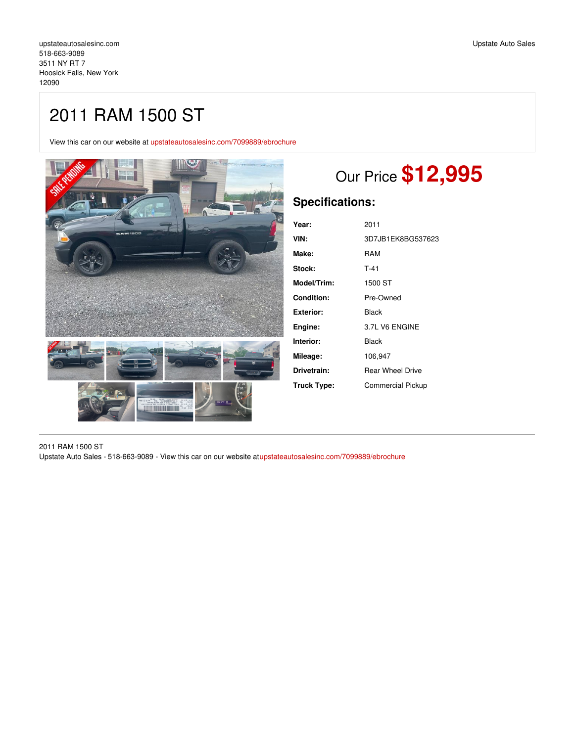View this car on our website at [upstateautosalesinc.com/7099889/ebrochure](https://upstateautosalesinc.com/vehicle/7099889/2011-ram-1500-st-hoosick-falls-new-york-12090/7099889/ebrochure)



# Our Price **\$12,995**

## **Specifications:**

| Year:       | 2011                     |
|-------------|--------------------------|
| VIN:        | 3D7JB1EK8BG537623        |
| Make:       | RAM                      |
| Stock:      | $T-41$                   |
| Model/Trim: | 1500 ST                  |
| Condition:  | Pre-Owned                |
| Exterior:   | Black                    |
| Engine:     | 3.7L V6 ENGINE           |
| Interior:   | Black                    |
| Mileage:    | 106,947                  |
| Drivetrain: | <b>Rear Wheel Drive</b>  |
| Truck Type: | <b>Commercial Pickup</b> |

2011 RAM 1500 ST Upstate Auto Sales - 518-663-9089 - View this car on our website a[tupstateautosalesinc.com/7099889/ebrochure](https://upstateautosalesinc.com/vehicle/7099889/2011-ram-1500-st-hoosick-falls-new-york-12090/7099889/ebrochure)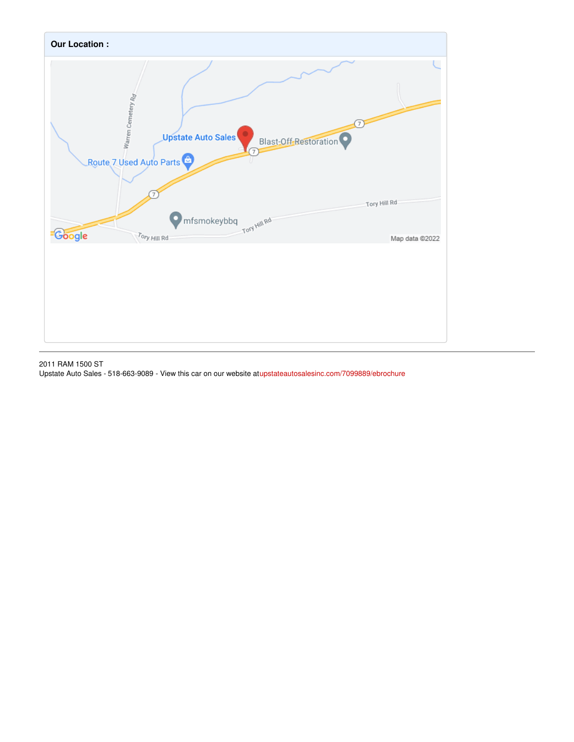

2011 RAM 1500 ST

Upstate Auto Sales - 518-663-9089 - View this car on our website atupstateautosalesinc.com/7099889/ebrochure